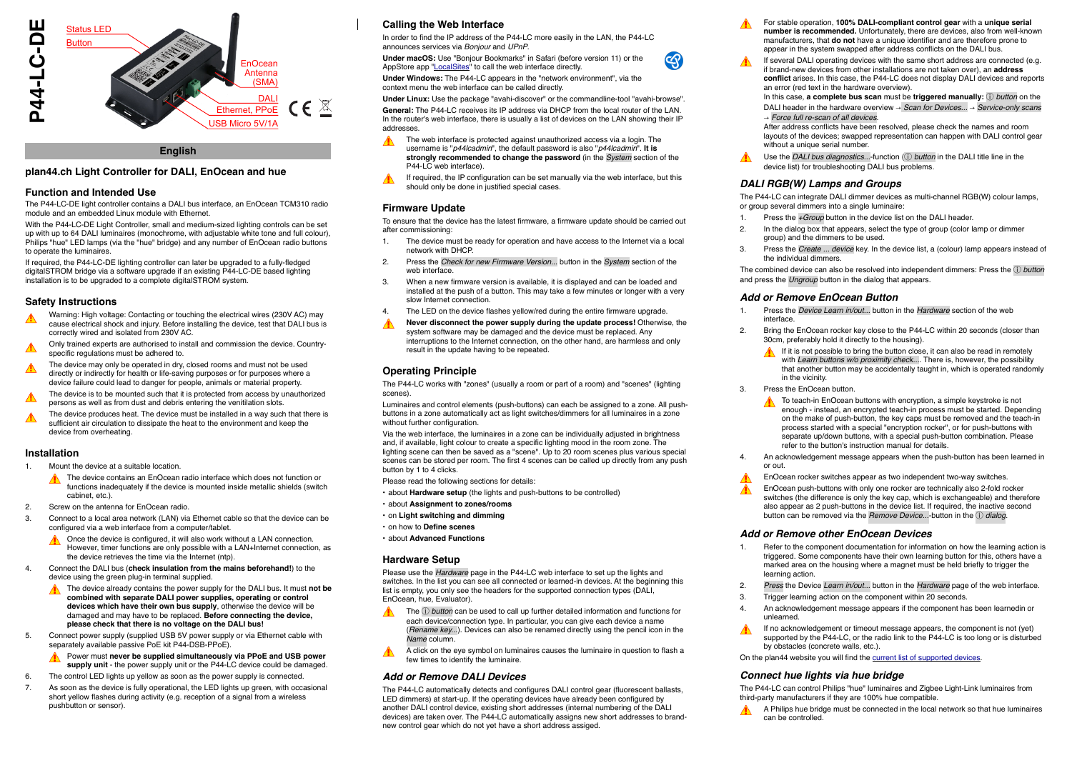

#### **English**

### **plan44.ch Light Controller for DALI, EnOcean and hue**

#### **Function and Intended Use**

The P44-LC-DE light controller contains a DALI bus interface, an EnOcean TCM310 radio module and an embedded Linux module with Ethernet.

With the P44-LC-DE Light Controller, small and medium-sized lighting controls can be set up with up to 64 DALI luminaires (monochrome, with adjustable white tone and full colour), Philips "hue" LED lamps (via the "hue" bridge) and any number of EnOcean radio buttons to operate the luminaires.

If required, the P44-LC-DE lighting controller can later be upgraded to a fully-fledged digitalSTROM bridge via a software upgrade if an existing P44-LC-DE based lighting installation is to be upgraded to a complete digitalSTROM system.

#### **Safety Instructions**

- Warning: High voltage: Contacting or touching the electrical wires (230V AC) may cause electrical shock and injury. Before installing the device, test that DALI bus is correctly wired and isolated from 230V AC.
- ! Only trained experts are authorised to install and commission the device. Countryspecific regulations must be adhered to.
- The device may only be operated in dry, closed rooms and must not be used directly or indirectly for health or life-saving purposes or for purposes where a device failure could lead to danger for people, animals or material property.
- ! The device is to be mounted such that it is protected from access by unauthorized persons as well as from dust and debris entering the venitilation slots.
- The device produces heat. The device must be installed in a way such that there is sufficient air circulation to dissipate the heat to the environment and keep the device from overheating.

#### **Installation**

- 1. Mount the device at a suitable location.
	- The device contains an EnOcean radio interface which does not function or functions inadequately if the device is mounted inside metallic shields (switch cabinet, etc.).
- 2. Screw on the antenna for EnOcean radio.
- 3. Connect to a local area network (LAN) via Ethernet cable so that the device can be configured via a web interface from a computer/tablet.
	- Once the device is configured, it will also work without a LAN connection. However, timer functions are only possible with a LAN+Internet connection, as the device retrieves the time via the Internet (ntp).
- 4. Connect the DALI bus (**check insulation from the mains beforehand!**) to the device using the green plug-in terminal supplied.
	- The device already contains the power supply for the DALI bus. It must not be **combined with separate DALI power supplies, operating or control devices which have their own bus supply**, otherwise the device will be damaged and may have to be replaced. **Before connecting the device, please check that there is no voltage on the DALI bus!**
- 5. Connect power supply (supplied USB 5V power supply or via Ethernet cable with separately available passive PoE kit P44-DSB-PPoE).
	- Power must **never be supplied simultaneously via PPoE and USB power supply unit** - the power supply unit or the P44-LC device could be damaged.
- 6. The control LED lights up yellow as soon as the power supply is connected.
- 7. As soon as the device is fully operational, the LED lights up green, with occasional short yellow flashes during activity (e.g. reception of a signal from a wireless pushbutton or sensor).

# **Calling the Web Interface**

In order to find the IP address of the P44-LC more easily in the LAN, the P44-LC announces services via *Bonjour* and *UPnP*.

**Under macOS:** Use "Bonjour Bookmarks" in Safari (before version 11) or the AppStore app "[LocalSites"](https://itunes.apple.com/us/app/localsites/id1289088707) to call the web interface directly.

**Under Windows:** The P44-LC appears in the "network environment", via the context menu the web interface can be called directly.

**Under Linux:** Use the package "avahi-discover" or the commandline-tool "avahi-browse".

**General:** The P44-LC receives its IP address via DHCP from the local router of the LAN. In the router's web interface, there is usually a list of devices on the LAN showing their IP addresses.

- The web interface is protected against unauthorized access via a login. The username is "*p44lcadmin*", the default password is also "*p44lcadmin*". **It is strongly recommended to change the password** (in the *System* section of the P44-LC web interface).
- If required, the IP configuration can be set manually via the web interface, but this should only be done in justified special cases.

## **Firmware Update**

To ensure that the device has the latest firmware, a firmware update should be carried out after commissioning:

- 1. The device must be ready for operation and have access to the Internet via a local network with DHCP.
- 2. Press the *Check for new Firmware Version...* button in the *System* section of the web interface.
- 3. When a new firmware version is available, it is displayed and can be loaded and installed at the push of a button. This may take a few minutes or longer with a very slow Internet connection.
- 4. The LED on the device flashes yellow/red during the entire firmware upgrade.
- **Never disconnect the power supply during the update process!** Otherwise, the system software may be damaged and the device must be replaced. Any interruptions to the Internet connection, on the other hand, are harmless and only result in the update having to be repeated.

## **Operating Principle**

The P44-LC works with "zones" (usually a room or part of a room) and "scenes" (lighting scenes).

Luminaires and control elements (push-buttons) can each be assigned to a zone. All pushbuttons in a zone automatically act as light switches/dimmers for all luminaires in a zone without further configuration.

Via the web interface, the luminaires in a zone can be individually adjusted in brightness and, if available, light colour to create a specific lighting mood in the room zone. The lighting scene can then be saved as a "scene". Up to 20 room scenes plus various special scenes can be stored per room. The first 4 scenes can be called up directly from any push button by 1 to 4 clicks.

Please read the following sections for details:

- about **[Hardware setup](#page-0-0)** (the lights and push-buttons to be controlled)
- about **[Assignment to zones/rooms](#page-1-0)**
- on **[Light switching and dimming](#page-1-1)**
- on how to **[Define scenes](#page-1-2)**
- about **[Advanced Functions](#page-1-3)**

#### <span id="page-0-0"></span>**Hardware Setup**

Please use the *Hardware* page in the P44-LC web interface to set up the lights and switches. In the list you can see all connected or learned-in devices. At the beginning this list is empty, you only see the headers for the supported connection types (DALI, EnOcean, hue, Evaluator).

- The ⓘ *button* can be used to call up further detailed information and functions for each device/connection type. In particular, you can give each device a name (*Rename key...*). Devices can also be renamed directly using the pencil icon in the *Name* column.
- A click on the eye symbol on luminaires causes the luminaire in question to flash a few times to identify the luminaire.

## *Add or Remove DALI Devices*

The P44-LC automatically detects and configures DALI control gear (fluorescent ballasts, LED dimmers) at start-up. If the operating devices have already been configured by another DALI control device, existing short addresses (internal numbering of the DALI devices) are taken over. The P44-LC automatically assigns new short addresses to brandnew control gear which do not yet have a short address assiged.

- For stable operation, **100% DALI-compliant control gear** with a **unique serial number is recommended.** Unfortunately, there are devices, also from well-known manufacturers, that **do not** have a unique identifier and are therefore prone to appear in the system swapped after address conflicts on the DALI bus.
- If several DALI operating devices with the same short address are connected (e.g. if brand-new devices from other installations are not taken over), an **address conflict** arises. In this case, the P44-LC does not display DALI devices and reports an error (red text in the hardware overview).

In this case, **a complete bus scan** must be **triggered manually:** ⓘ *button* on the DALI header in the hardware overview!" *Scan for Devices...* " *Service-only scans* " *Force full re-scan of all devices*.

After address conflicts have been resolved, please check the names and room layouts of the devices; swapped representation can happen with DALI control gear without a unique serial number.

Use the *DALI bus diagnostics...*-function ((i) *button* in the DALI title line in the device list) for troubleshooting DALI bus problems.

## *DALI RGB(W) Lamps and Groups*

The P44-LC can integrate DALI dimmer devices as multi-channel RGB(W) colour lamps, or group several dimmers into a single luminaire:

- 1. Press the *+Group* button in the device list on the DALI header.
- 2. In the dialog box that appears, select the type of group (color lamp or dimmer group) and the dimmers to be used.
- 3. Press the *Create ... device* key. In the device list, a (colour) lamp appears instead of the individual dimmers.

The combined device can also be resolved into independent dimmers: Press the ⓘ *button* and press the *Ungroup* button in the dialog that appears.

#### *Add or Remove EnOcean Button*

- 1. Press the *Device Learn in/out...* button in the *Hardware* section of the web interface.
- 2. Bring the EnOcean rocker key close to the P44-LC within 20 seconds (closer than 30cm, preferably hold it directly to the housing).
	- If it is not possible to bring the button close, it can also be read in remotely with *Learn buttons w/o proximity check...*. There is, however, the possibility that another button may be accidentally taught in, which is operated randomly in the vicinity
- Press the EnOcean button.
	- To teach-in EnOcean buttons with encryption, a simple keystroke is not  $\blacktriangle$ enough - instead, an encrypted teach-in process must be started. Depending on the make of push-button, the key caps must be removed and the teach-in process started with a special "encryption rocker", or for push-buttons with separate up/down buttons, with a special push-button combination. Please refer to the button's instruction manual for details.
- 4. An acknowledgement message appears when the push-button has been learned in or out.
- EnOcean rocker switches appear as two independent two-way switches.
- EnOcean push-buttons with only one rocker are technically also 2-fold rocker switches (the difference is only the key cap, which is exchangeable) and therefore also appear as 2 push-buttons in the device list. If required, the inactive second button can be removed via the *Remove Device* --button in the ① dialog

## *Add or Remove other EnOcean Devices*

- 1. Refer to the component documentation for information on how the learning action is triggered. Some components have their own learning button for this, others have a marked area on the housing where a magnet must be held briefly to trigger the learning action.
- 2. *Press* the Device *Learn in/out...* button in the *Hardware* page of the web interface.
- 3. Trigger learning action on the component within 20 seconds.
- 4. An acknowledgement message appears if the component has been learnedin or unlearned.
- If no acknowledgement or timeout message appears, the component is not (yet) supported by the P44-LC, or the radio link to the P44-LC is too long or is disturbed by obstacles (concrete walls, etc.)

On the plan44 website you will find the [current list of supported devices.](http://plan44.ch/automation/info.php?lang=e>in=7640161170094)

#### *Connect hue lights via hue bridge*

The P44-LC can control Philips "hue" luminaires and Zigbee Light-Link luminaires from third-party manufacturers if they are 100% hue compatible.

A Philips hue bridge must be connected in the local network so that hue luminaires can be controlled.